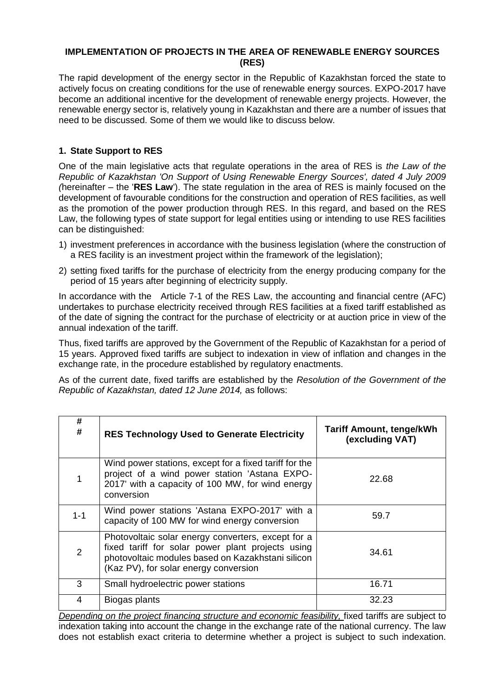# **IMPLEMENTATION OF PROJECTS IN THE AREA OF RENEWABLE ENERGY SOURCES (RES)**

The rapid development of the energy sector in the Republic of Kazakhstan forced the state to actively focus on creating conditions for the use of renewable energy sources. EXPO-2017 have become an additional incentive for the development of renewable energy projects. However, the renewable energy sector is, relatively young in Kazakhstan and there are a number of issues that need to be discussed. Some of them we would like to discuss below.

# **1. State Support to RES**

One of the main legislative acts that regulate operations in the area of RES is *the Law of the Republic of Kazakhstan 'On Support of Using Renewable Energy Sources', dated 4 July 2009 (*hereinafter – the '**RES Law**'). The state regulation in the area of RES is mainly focused on the development of favourable conditions for the construction and operation of RES facilities, as well as the promotion of the power production through RES. In this regard, and based on the RES Law, the following types of state support for legal entities using or intending to use RES facilities can be distinguished:

- 1) investment preferences in accordance with the business legislation (where the construction of a RES facility is an investment project within the framework of the legislation);
- 2) setting fixed tariffs for the purchase of electricity from the energy producing company for the period of 15 years after beginning of electricity supply.

In accordance with the Article 7-1 of the RES Law, the accounting and financial centre (AFC) undertakes to purchase electricity received through RES facilities at a fixed tariff established as of the date of signing the contract for the purchase of electricity or at auction price in view of the annual indexation of the tariff.

Thus, fixed tariffs are approved by the Government of the Republic of Kazakhstan for a period of 15 years. Approved fixed tariffs are subject to indexation in view of inflation and changes in the exchange rate, in the procedure established by regulatory enactments.

As of the current date, fixed tariffs are established by the *Resolution of the Government of the Republic of Kazakhstan, dated 12 June 2014,* as follows:

| #<br>#  | <b>RES Technology Used to Generate Electricity</b>                                                                                                                                                    | <b>Tariff Amount, tenge/kWh</b><br>(excluding VAT) |
|---------|-------------------------------------------------------------------------------------------------------------------------------------------------------------------------------------------------------|----------------------------------------------------|
| 1       | Wind power stations, except for a fixed tariff for the<br>project of a wind power station 'Astana EXPO-<br>2017' with a capacity of 100 MW, for wind energy<br>conversion                             | 22.68                                              |
| $1 - 1$ | Wind power stations 'Astana EXPO-2017' with a<br>capacity of 100 MW for wind energy conversion                                                                                                        | 59.7                                               |
| 2       | Photovoltaic solar energy converters, except for a<br>fixed tariff for solar power plant projects using<br>photovoltaic modules based on Kazakhstani silicon<br>(Kaz PV), for solar energy conversion | 34.61                                              |
| 3       | Small hydroelectric power stations                                                                                                                                                                    | 16.71                                              |
| 4       | Biogas plants                                                                                                                                                                                         | 32.23                                              |

*Depending on the project financing structure and economic feasibility, fixed tariffs are subject to* indexation taking into account the change in the exchange rate of the national currency. The law does not establish exact criteria to determine whether a project is subject to such indexation.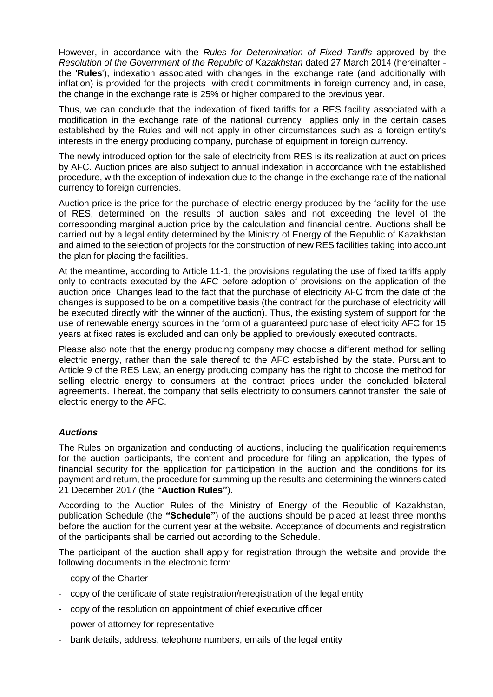However, in accordance with the *Rules for Determination of Fixed Tariffs* approved by the *Resolution of the Government of the Republic of Kazakhstan* dated 27 March 2014 (hereinafter the '**Rules**'), indexation associated with changes in the exchange rate (and additionally with inflation) is provided for the projects with credit commitments in foreign currency and, in case, the change in the exchange rate is 25% or higher compared to the previous year.

Thus, we can conclude that the indexation of fixed tariffs for a RES facility associated with a modification in the exchange rate of the national currency applies only in the certain cases established by the Rules and will not apply in other circumstances such as a foreign entity's interests in the energy producing company, purchase of equipment in foreign currency.

The newly introduced option for the sale of electricity from RES is its realization at auction prices by AFC. Auction prices are also subject to annual indexation in accordance with the established procedure, with the exception of indexation due to the change in the exchange rate of the national currency to foreign currencies.

Auction price is the price for the purchase of electric energy produced by the facility for the use of RES, determined on the results of auction sales and not exceeding the level of the corresponding marginal auction price by the calculation and financial centre. Auctions shall be carried out by a legal entity determined by the Ministry of Energy of the Republic of Kazakhstan and aimed to the selection of projects for the construction of new RES facilities taking into account the plan for placing the facilities.

At the meantime, according to Article 11-1, the provisions regulating the use of fixed tariffs apply only to contracts executed by the AFC before adoption of provisions on the application of the auction price. Changes lead to the fact that the purchase of electricity AFC from the date of the changes is supposed to be on a competitive basis (the contract for the purchase of electricity will be executed directly with the winner of the auction). Thus, the existing system of support for the use of renewable energy sources in the form of a guaranteed purchase of electricity AFC for 15 years at fixed rates is excluded and can only be applied to previously executed contracts.

Please also note that the energy producing company may choose a different method for selling electric energy, rather than the sale thereof to the AFC established by the state. Pursuant to Article 9 of the RES Law, an energy producing company has the right to choose the method for selling electric energy to consumers at the contract prices under the concluded bilateral agreements. Thereat, the company that sells electricity to consumers cannot transfer the sale of electric energy to the AFC.

#### *Auctions*

The Rules on organization and conducting of auctions, including the qualification requirements for the auction participants, the content and procedure for filing an application, the types of financial security for the application for participation in the auction and the conditions for its payment and return, the procedure for summing up the results and determining the winners dated 21 December 2017 (the **"Auction Rules"**).

According to the Auction Rules of the Ministry of Energy of the Republic of Kazakhstan, publication Schedule (the **"Schedule"**) of the auctions should be placed at least three months before the auction for the current year at the website. Acceptance of documents and registration of the participants shall be carried out according to the Schedule.

The participant of the auction shall apply for registration through the website and provide the following documents in the electronic form:

- copy of the Charter
- copy of the certificate of state registration/reregistration of the legal entity
- copy of the resolution on appointment of chief executive officer
- power of attorney for representative
- bank details, address, telephone numbers, emails of the legal entity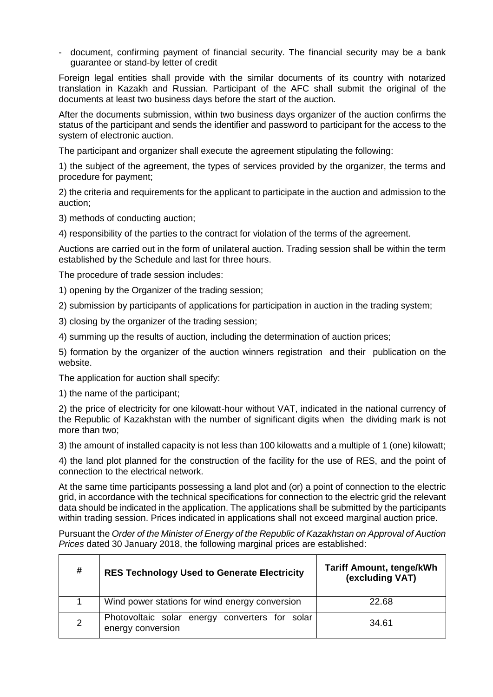- document, confirming payment of financial security. The financial security may be a bank guarantee or stand-by letter of credit

Foreign legal entities shall provide with the similar documents of its country with notarized translation in Kazakh and Russian. Participant of the AFC shall submit the original of the documents at least two business days before the start of the auction.

After the documents submission, within two business days organizer of the auction confirms the status of the participant and sends the identifier and password to participant for the access to the system of electronic auction.

The participant and organizer shall execute the agreement stipulating the following:

1) the subject of the agreement, the types of services provided by the organizer, the terms and procedure for payment;

2) the criteria and requirements for the applicant to participate in the auction and admission to the auction;

3) methods of conducting auction;

4) responsibility of the parties to the contract for violation of the terms of the agreement.

Auctions are carried out in the form of unilateral auction. Trading session shall be within the term established by the Schedule and last for three hours.

The procedure of trade session includes:

1) opening by the Organizer of the trading session;

2) submission by participants of applications for participation in auction in the trading system;

3) closing by the organizer of the trading session;

4) summing up the results of auction, including the determination of auction prices;

5) formation by the organizer of the auction winners registration and their publication on the website.

The application for auction shall specify:

1) the name of the participant;

2) the price of electricity for one kilowatt-hour without VAT, indicated in the national currency of the Republic of Kazakhstan with the number of significant digits when the dividing mark is not more than two;

3) the amount of installed capacity is not less than 100 kilowatts and a multiple of 1 (one) kilowatt;

4) the land plot planned for the construction of the facility for the use of RES, and the point of connection to the electrical network.

At the same time participants possessing a land plot and (or) a point of connection to the electric grid, in accordance with the technical specifications for connection to the electric grid the relevant data should be indicated in the application. The applications shall be submitted by the participants within trading session. Prices indicated in applications shall not exceed marginal auction price.

Pursuant the *Order of the Minister of Energy of the Republic of Kazakhstan on Approval of Auction Prices* dated 30 January 2018, the following marginal prices are established:

| #              | <b>RES Technology Used to Generate Electricity</b>                  | <b>Tariff Amount, tenge/kWh</b><br>(excluding VAT) |
|----------------|---------------------------------------------------------------------|----------------------------------------------------|
|                | Wind power stations for wind energy conversion                      | 22.68                                              |
| $\overline{2}$ | Photovoltaic solar energy converters for solar<br>energy conversion | 34.61                                              |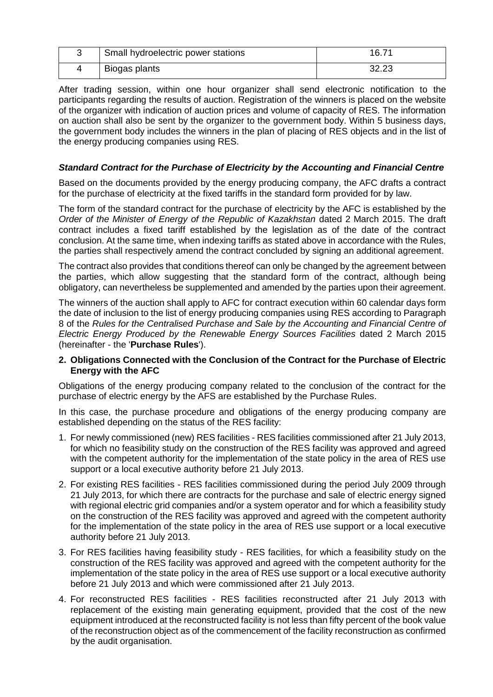| Small hydroelectric power stations | 16 71 |
|------------------------------------|-------|
| Biogas plants                      |       |

After trading session, within one hour organizer shall send electronic notification to the participants regarding the results of auction. Registration of the winners is placed on the website of the organizer with indication of auction prices and volume of capacity of RES. The information on auction shall also be sent by the organizer to the government body. Within 5 business days, the government body includes the winners in the plan of placing of RES objects and in the list of the energy producing companies using RES.

## *Standard Contract for the Purchase of Electricity by the Accounting and Financial Centre*

Based on the documents provided by the energy producing company, the AFC drafts a contract for the purchase of electricity at the fixed tariffs in the standard form provided for by law.

The form of the standard contract for the purchase of electricity by the AFC is established by the *Order of the Minister of Energy of the Republic of Kazakhstan* dated 2 March 2015. The draft contract includes a fixed tariff established by the legislation as of the date of the contract conclusion. At the same time, when indexing tariffs as stated above in accordance with the Rules, the parties shall respectively amend the contract concluded by signing an additional agreement.

The contract also provides that conditions thereof can only be changed by the agreement between the parties, which allow suggesting that the standard form of the contract, although being obligatory, can nevertheless be supplemented and amended by the parties upon their agreement.

The winners of the auction shall apply to AFC for contract execution within 60 calendar days form the date of inclusion to the list of energy producing companies using RES according to Paragraph 8 of the *Rules for the Centralised Purchase and Sale by the Accounting and Financial Centre of Electric Energy Produced by the Renewable Energy Sources Facilities* dated 2 March 2015 (hereinafter - the '**Purchase Rules**').

#### **2. Obligations Connected with the Conclusion of the Contract for the Purchase of Electric Energy with the AFC**

Obligations of the energy producing company related to the conclusion of the contract for the purchase of electric energy by the AFS are established by the Purchase Rules.

In this case, the purchase procedure and obligations of the energy producing company are established depending on the status of the RES facility:

- 1. For newly commissioned (new) RES facilities RES facilities commissioned after 21 July 2013, for which no feasibility study on the construction of the RES facility was approved and agreed with the competent authority for the implementation of the state policy in the area of RES use support or a local executive authority before 21 July 2013.
- 2. For existing RES facilities RES facilities commissioned during the period July 2009 through 21 July 2013, for which there are contracts for the purchase and sale of electric energy signed with regional electric grid companies and/or a system operator and for which a feasibility study on the construction of the RES facility was approved and agreed with the competent authority for the implementation of the state policy in the area of RES use support or a local executive authority before 21 July 2013.
- 3. For RES facilities having feasibility study RES facilities, for which a feasibility study on the construction of the RES facility was approved and agreed with the competent authority for the implementation of the state policy in the area of RES use support or a local executive authority before 21 July 2013 and which were commissioned after 21 July 2013.
- 4. For reconstructed RES facilities RES facilities reconstructed after 21 July 2013 with replacement of the existing main generating equipment, provided that the cost of the new equipment introduced at the reconstructed facility is not less than fifty percent of the book value of the reconstruction object as of the commencement of the facility reconstruction as confirmed by the audit organisation.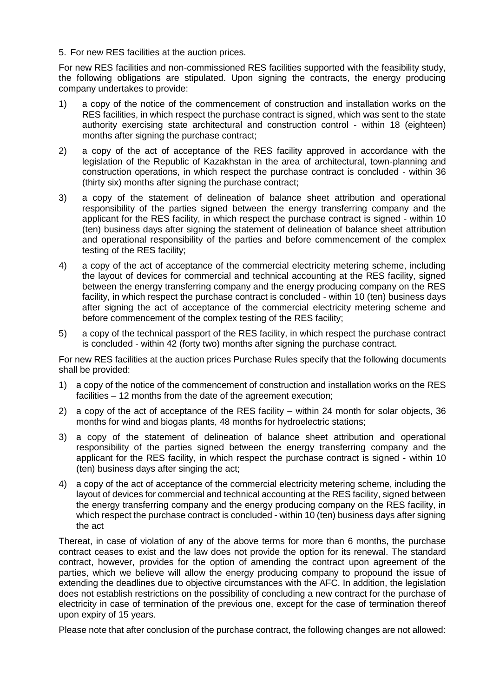5. For new RES facilities at the auction prices.

For new RES facilities and non-commissioned RES facilities supported with the feasibility study, the following obligations are stipulated. Upon signing the contracts, the energy producing company undertakes to provide:

- 1) a copy [of the notice](http://adilet.zan.kz/rus/docs/V1500010194#z25) of the commencement of construction and installation works on the RES facilities, in which respect the purchase contract is signed, which was sent to the state authority exercising state architectural and construction control - within 18 (eighteen) months after signing the purchase contract;
- 2) a copy of the act of acceptance of the RES facility approved in accordance with the legislation of the Republic of Kazakhstan in the area of architectural, town-planning and construction operations, in which respect the purchase contract is concluded - within 36 (thirty six) months after signing the purchase contract;
- 3) a copy [of the statement](http://adilet.zan.kz/rus/docs/V1400010899#z261) of delineation of balance sheet attribution and operational responsibility of the parties signed between the energy transferring company and the applicant for the RES facility, in which respect the purchase contract is signed - within 10 (ten) business days after signing the statement of delineation of balance sheet attribution and operational responsibility of the parties and before commencement of the complex testing of the RES facility;
- 4) a copy of the act of acceptance of the commercial electricity metering scheme, including the layout of devices for commercial and technical accounting at the RES facility, signed between the energy transferring company and the energy producing company on the RES facility, in which respect the purchase contract is concluded - within 10 (ten) business days after signing the act of acceptance of the commercial electricity metering scheme and before commencement of the complex testing of the RES facility;
- 5) a copy of the technical passport of the RES facility, in which respect the purchase contract is concluded - within 42 (forty two) months after signing the purchase contract.

For new RES facilities at the auction prices Purchase Rules specify that the following documents shall be provided:

- 1) a copy [of the notice](http://adilet.zan.kz/rus/docs/V1500010194#z25) of the commencement of construction and installation works on the RES facilities – 12 months from the date of the agreement execution;
- 2) a copy of the act of acceptance of the RES facility within 24 month for solar objects, 36 months for wind and biogas plants, 48 months for hydroelectric stations;
- 3) a copy [of the statement](http://adilet.zan.kz/rus/docs/V1400010899#z261) of delineation of balance sheet attribution and operational responsibility of the parties signed between the energy transferring company and the applicant for the RES facility, in which respect the purchase contract is signed - within 10 (ten) business days after singing the act;
- 4) a copy of the act of acceptance of the commercial electricity metering scheme, including the layout of devices for commercial and technical accounting at the RES facility, signed between the energy transferring company and the energy producing company on the RES facility, in which respect the purchase contract is concluded - within 10 (ten) business days after signing the act

Thereat, in case of violation of any of the above terms for more than 6 months, the purchase contract ceases to exist and the law does not provide the option for its renewal. The standard contract, however, provides for the option of amending the contract upon agreement of the parties, which we believe will allow the energy producing company to propound the issue of extending the deadlines due to objective circumstances with the AFC. In addition, the legislation does not establish restrictions on the possibility of concluding a new contract for the purchase of electricity in case of termination of the previous one, except for the case of termination thereof upon expiry of 15 years.

Please note that after conclusion of the purchase contract, the following changes are not allowed: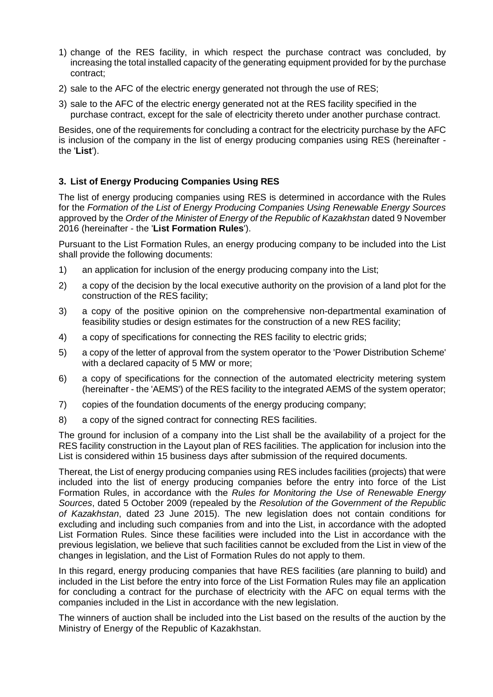- 1) change of the RES facility, in which respect the purchase contract was concluded, by increasing the total installed capacity of the generating equipment provided for by the purchase contract;
- 2) sale to the AFC of the electric energy generated not through the use of RES;
- 3) sale to the AFC of the electric energy generated not at the RES facility specified in the purchase contract, except for the sale of electricity thereto under another purchase contract.

Besides, one of the requirements for concluding a contract for the electricity purchase by the AFC is inclusion of the company in the list of energy producing companies using RES (hereinafter the '**List**').

# **3. List of Energy Producing Companies Using RES**

The list of energy producing companies using RES is determined in accordance with the Rules for the *Formation of the List of Energy Producing Companies Using Renewable Energy Sources* approved by the *Order of the Minister of Energy of the Republic of Kazakhstan* dated 9 November 2016 (hereinafter - the '**List Formation Rules**').

Pursuant to the List Formation Rules, an energy producing company to be included into the List shall provide the following documents:

- 1) an application for inclusion of the energy producing company into the List;
- 2) a copy of the decision by the local executive authority on the provision of a land plot for the construction of the RES facility;
- 3) a copy of the positive opinion on [the comprehensive non-departmental examination](http://adilet.zan.kz/rus/docs/V1500010722#z6) of feasibility studies or design estimates for the construction of a new RES facility;
- 4) a copy [of specifications](http://adilet.zan.kz/rus/docs/V1500010476#z28) for connecting the RES facility to electric grids;
- 5) a copy of the letter of approval from the system [operator](http://adilet.zan.kz/rus/docs/P1400000630#z2) to the ['Power](http://adilet.zan.kz/rus/docs/V1400010899#z260) Distribution Scheme' with a declared capacity of 5 MW or more;
- 6) a copy of specifications for the connection of the automated electricity metering system (hereinafter - the 'AEMS') of the RES facility to the integrated AEMS of the system operator;
- 7) copies of the foundation documents of the energy producing company;
- 8) a copy of the signed [contract](http://adilet.zan.kz/rus/docs/V1600014108#z2) for connecting RES facilities.

The ground for inclusion of a company into the List shall be the availability of a project for the RES facility construction in the Layout plan of RES facilities. The application for inclusion into the List is considered within 15 business days after submission of the required documents.

Thereat, the List of energy producing companies using RES includes facilities (projects) that were included into the list of energy producing companies before the entry into force of the List Formation Rules, in accordance with the *Rules for Monitoring the Use of Renewable Energy Sources*, dated 5 October 2009 (repealed by the *Resolution of the Government of the Republic of Kazakhstan*, dated 23 June 2015). The new legislation does not contain conditions for excluding and including such companies from and into the List, in accordance with the adopted List Formation Rules. Since these facilities were included into the List in accordance with the previous legislation, we believe that such facilities cannot be excluded from the List in view of the changes in legislation, and the List of Formation Rules do not apply to them.

In this regard, energy producing companies that have RES facilities (are planning to build) and included in the List before the entry into force of the List Formation Rules may file an application for concluding a contract for the purchase of electricity with the AFC on equal terms with the companies included in the List in accordance with the new legislation.

The winners of auction shall be included into the List based on the results of the auction by the Ministry of Energy of the Republic of Kazakhstan.